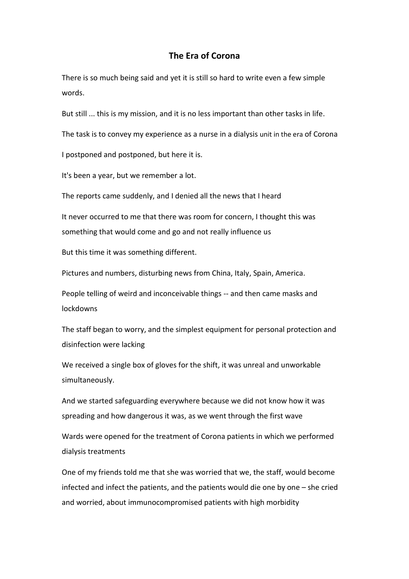## **The Era of Corona**

There is so much being said and yet it is still so hard to write even a few simple words.

But still ... this is my mission, and it is no less important than other tasks in life.

The task is to convey my experience as a nurse in a dialysis unit in the era of Corona

I postponed and postponed, but here it is.

It's been a year, but we remember a lot.

The reports came suddenly, and I denied all the news that I heard

It never occurred to me that there was room for concern, I thought this was something that would come and go and not really influence us

But this time it was something different.

Pictures and numbers, disturbing news from China, Italy, Spain, America.

People telling of weird and inconceivable things -- and then came masks and lockdowns

The staff began to worry, and the simplest equipment for personal protection and disinfection were lacking

We received a single box of gloves for the shift, it was unreal and unworkable simultaneously.

And we started safeguarding everywhere because we did not know how it was spreading and how dangerous it was, as we went through the first wave

Wards were opened for the treatment of Corona patients in which we performed dialysis treatments

One of my friends told me that she was worried that we, the staff, would become infected and infect the patients, and the patients would die one by one – she cried and worried, about immunocompromised patients with high morbidity